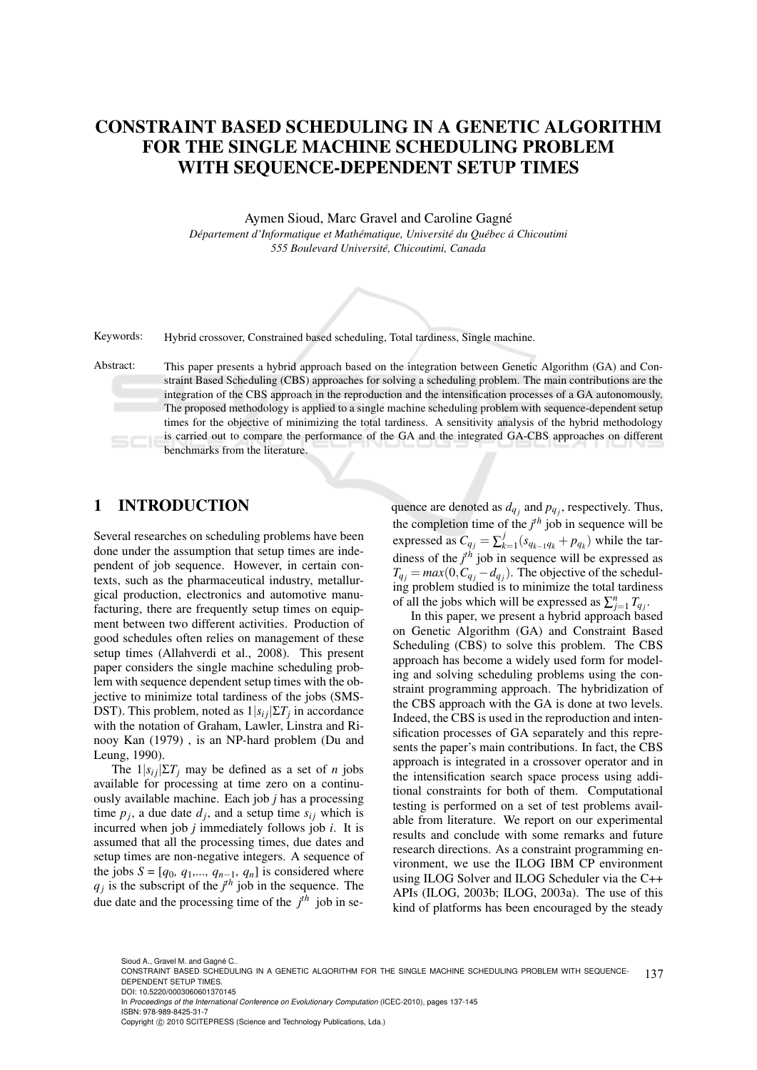# CONSTRAINT BASED SCHEDULING IN A GENETIC ALGORITHM FOR THE SINGLE MACHINE SCHEDULING PROBLEM WITH SEQUENCE-DEPENDENT SETUP TIMES

Aymen Sioud, Marc Gravel and Caroline Gagné *Departement d'Informatique et Math ´ ematique, Universit ´ e du Qu ´ ebec ´ a Chicoutimi ´ 555 Boulevard Universite, Chicoutimi, Canada ´*



Keywords: Hybrid crossover, Constrained based scheduling, Total tardiness, Single machine.

Abstract: This paper presents a hybrid approach based on the integration between Genetic Algorithm (GA) and Constraint Based Scheduling (CBS) approaches for solving a scheduling problem. The main contributions are the integration of the CBS approach in the reproduction and the intensification processes of a GA autonomously. The proposed methodology is applied to a single machine scheduling problem with sequence-dependent setup times for the objective of minimizing the total tardiness. A sensitivity analysis of the hybrid methodology is carried out to compare the performance of the GA and the integrated GA-CBS approaches on different benchmarks from the literature.

## 1 INTRODUCTION

Several researches on scheduling problems have been done under the assumption that setup times are independent of job sequence. However, in certain contexts, such as the pharmaceutical industry, metallurgical production, electronics and automotive manufacturing, there are frequently setup times on equipment between two different activities. Production of good schedules often relies on management of these setup times (Allahverdi et al., 2008). This present paper considers the single machine scheduling problem with sequence dependent setup times with the objective to minimize total tardiness of the jobs (SMS-DST). This problem, noted as  $1|s_{ij}|\Sigma T_j$  in accordance with the notation of Graham, Lawler, Linstra and Rinooy Kan (1979) , is an NP-hard problem (Du and Leung, 1990).

The  $1|s_{ij}|\Sigma T_j$  may be defined as a set of *n* jobs available for processing at time zero on a continuously available machine. Each job *j* has a processing time  $p_j$ , a due date  $d_j$ , and a setup time  $s_{ij}$  which is incurred when job *j* immediately follows job *i*. It is assumed that all the processing times, due dates and setup times are non-negative integers. A sequence of the jobs  $S = [q_0, q_1, \dots, q_{n-1}, q_n]$  is considered where  $q_j$  is the subscript of the  $j<sup>th</sup>$  job in the sequence. The due date and the processing time of the  $j<sup>th</sup>$  job in sequence are denoted as  $d_{q_j}$  and  $p_{q_j}$ , respectively. Thus, the completion time of the  $j<sup>th</sup>$  job in sequence will be expressed as  $C_{q_j} = \sum_k^j$  $\int_{k=1}^{J} (s_{q_{k-1}q_k} + p_{q_k})$  while the tardiness of the *j th* job in sequence will be expressed as  $T_{q_j} = max(0, C_{q_j} - d_{q_j})$ . The objective of the scheduling problem studied is to minimize the total tardiness of all the jobs which will be expressed as  $\sum_{j=1}^{n} T_{q_j}$ .

In this paper, we present a hybrid approach based on Genetic Algorithm (GA) and Constraint Based Scheduling (CBS) to solve this problem. The CBS approach has become a widely used form for modeling and solving scheduling problems using the constraint programming approach. The hybridization of the CBS approach with the GA is done at two levels. Indeed, the CBS is used in the reproduction and intensification processes of GA separately and this represents the paper's main contributions. In fact, the CBS approach is integrated in a crossover operator and in the intensification search space process using additional constraints for both of them. Computational testing is performed on a set of test problems available from literature. We report on our experimental results and conclude with some remarks and future research directions. As a constraint programming environment, we use the ILOG IBM CP environment using ILOG Solver and ILOG Scheduler via the C++ APIs (ILOG, 2003b; ILOG, 2003a). The use of this kind of platforms has been encouraged by the steady

In *Proceedings of the International Conference on Evolutionary Computation* (ICEC-2010), pages 137-145 ISBN: 978-989-8425-31-7

Sioud A., Gravel M. and Gagné C..

<sup>137</sup> CONSTRAINT BASED SCHEDULING IN A GENETIC ALGORITHM FOR THE SINGLE MACHINE SCHEDULING PROBLEM WITH SEQUENCE-DEPENDENT SETUP TIMES. DOI: 10.5220/0003060601370145

Copyright © 2010 SCITEPRESS (Science and Technology Publications, Lda.)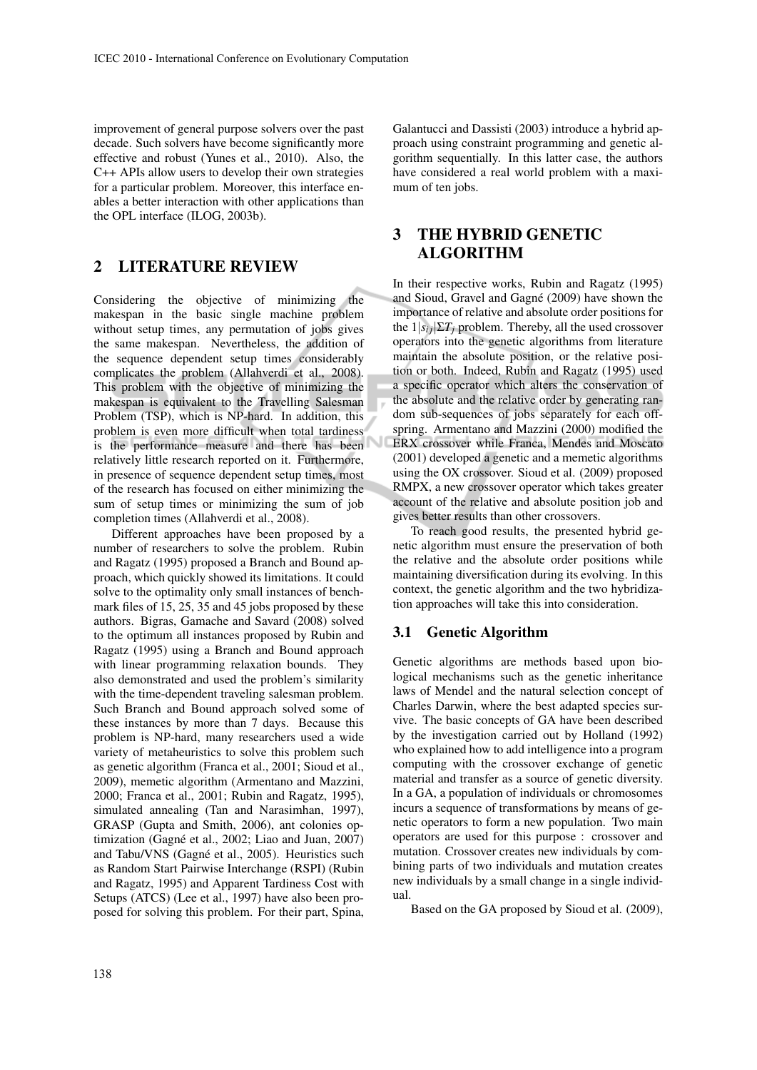improvement of general purpose solvers over the past decade. Such solvers have become significantly more effective and robust (Yunes et al., 2010). Also, the C++ APIs allow users to develop their own strategies for a particular problem. Moreover, this interface enables a better interaction with other applications than the OPL interface (ILOG, 2003b).

# 2 LITERATURE REVIEW

Considering the objective of minimizing the makespan in the basic single machine problem without setup times, any permutation of jobs gives the same makespan. Nevertheless, the addition of the sequence dependent setup times considerably complicates the problem (Allahverdi et al., 2008). This problem with the objective of minimizing the makespan is equivalent to the Travelling Salesman Problem (TSP), which is NP-hard. In addition, this problem is even more difficult when total tardiness is the performance measure and there has been relatively little research reported on it. Furthermore, in presence of sequence dependent setup times, most of the research has focused on either minimizing the sum of setup times or minimizing the sum of job completion times (Allahverdi et al., 2008).

Different approaches have been proposed by a number of researchers to solve the problem. Rubin and Ragatz (1995) proposed a Branch and Bound approach, which quickly showed its limitations. It could solve to the optimality only small instances of benchmark files of 15, 25, 35 and 45 jobs proposed by these authors. Bigras, Gamache and Savard (2008) solved to the optimum all instances proposed by Rubin and Ragatz (1995) using a Branch and Bound approach with linear programming relaxation bounds. They also demonstrated and used the problem's similarity with the time-dependent traveling salesman problem. Such Branch and Bound approach solved some of these instances by more than 7 days. Because this problem is NP-hard, many researchers used a wide variety of metaheuristics to solve this problem such as genetic algorithm (Franca et al., 2001; Sioud et al., 2009), memetic algorithm (Armentano and Mazzini, 2000; Franca et al., 2001; Rubin and Ragatz, 1995), simulated annealing (Tan and Narasimhan, 1997), GRASP (Gupta and Smith, 2006), ant colonies optimization (Gagné et al., 2002; Liao and Juan, 2007) and Tabu/VNS (Gagné et al., 2005). Heuristics such as Random Start Pairwise Interchange (RSPI) (Rubin and Ragatz, 1995) and Apparent Tardiness Cost with Setups (ATCS) (Lee et al., 1997) have also been proposed for solving this problem. For their part, Spina,

Galantucci and Dassisti (2003) introduce a hybrid approach using constraint programming and genetic algorithm sequentially. In this latter case, the authors have considered a real world problem with a maximum of ten jobs.

# 3 THE HYBRID GENETIC ALGORITHM

In their respective works, Rubin and Ragatz (1995) and Sioud, Gravel and Gagné (2009) have shown the importance of relative and absolute order positions for the  $1|s_{ij}|\Sigma T_j$  problem. Thereby, all the used crossover operators into the genetic algorithms from literature maintain the absolute position, or the relative position or both. Indeed, Rubin and Ragatz (1995) used a specific operator which alters the conservation of the absolute and the relative order by generating random sub-sequences of jobs separately for each offspring. Armentano and Mazzini (2000) modified the ERX crossover while Franca, Mendes and Moscato (2001) developed a genetic and a memetic algorithms using the OX crossover. Sioud et al. (2009) proposed RMPX, a new crossover operator which takes greater account of the relative and absolute position job and gives better results than other crossovers.

To reach good results, the presented hybrid genetic algorithm must ensure the preservation of both the relative and the absolute order positions while maintaining diversification during its evolving. In this context, the genetic algorithm and the two hybridization approaches will take this into consideration.

#### 3.1 Genetic Algorithm

Genetic algorithms are methods based upon biological mechanisms such as the genetic inheritance laws of Mendel and the natural selection concept of Charles Darwin, where the best adapted species survive. The basic concepts of GA have been described by the investigation carried out by Holland (1992) who explained how to add intelligence into a program computing with the crossover exchange of genetic material and transfer as a source of genetic diversity. In a GA, a population of individuals or chromosomes incurs a sequence of transformations by means of genetic operators to form a new population. Two main operators are used for this purpose : crossover and mutation. Crossover creates new individuals by combining parts of two individuals and mutation creates new individuals by a small change in a single individual.

Based on the GA proposed by Sioud et al. (2009),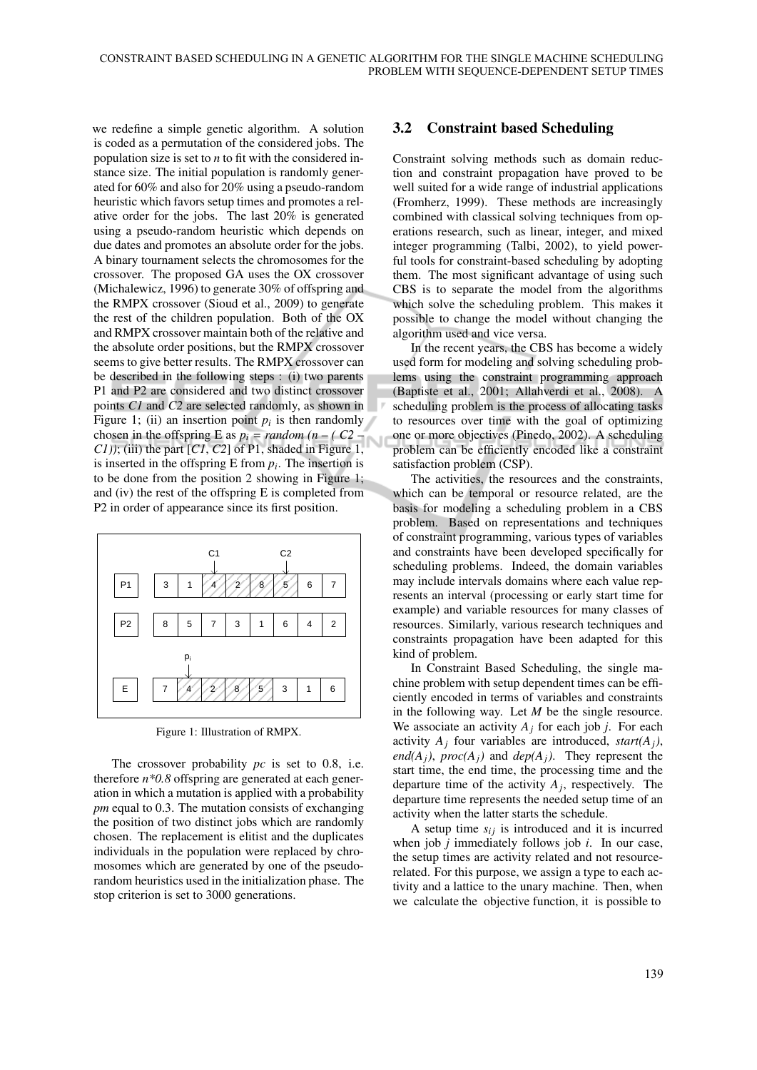we redefine a simple genetic algorithm. A solution is coded as a permutation of the considered jobs. The population size is set to *n* to fit with the considered instance size. The initial population is randomly generated for 60% and also for 20% using a pseudo-random heuristic which favors setup times and promotes a relative order for the jobs. The last 20% is generated using a pseudo-random heuristic which depends on due dates and promotes an absolute order for the jobs. A binary tournament selects the chromosomes for the crossover. The proposed GA uses the OX crossover (Michalewicz, 1996) to generate 30% of offspring and the RMPX crossover (Sioud et al., 2009) to generate the rest of the children population. Both of the OX and RMPX crossover maintain both of the relative and the absolute order positions, but the RMPX crossover seems to give better results. The RMPX crossover can be described in the following steps : (i) two parents P1 and P2 are considered and two distinct crossover points *C1* and *C2* are selected randomly, as shown in Figure 1; (ii) an insertion point  $p_i$  is then randomly chosen in the offspring E as  $p_i = random (n - (C2 -$ *C1))*; (iii) the part [*C1*, *C2*] of P1, shaded in Figure 1, is inserted in the offspring E from  $p_i$ . The insertion is to be done from the position 2 showing in Figure 1; and (iv) the rest of the offspring E is completed from P2 in order of appearance since its first position.



Figure 1: Illustration of RMPX.

The crossover probability *pc* is set to 0.8, i.e. therefore *n\*0.8* offspring are generated at each generation in which a mutation is applied with a probability *pm* equal to 0.3. The mutation consists of exchanging the position of two distinct jobs which are randomly chosen. The replacement is elitist and the duplicates individuals in the population were replaced by chromosomes which are generated by one of the pseudorandom heuristics used in the initialization phase. The stop criterion is set to 3000 generations.

## 3.2 Constraint based Scheduling

Constraint solving methods such as domain reduction and constraint propagation have proved to be well suited for a wide range of industrial applications (Fromherz, 1999). These methods are increasingly combined with classical solving techniques from operations research, such as linear, integer, and mixed integer programming (Talbi, 2002), to yield powerful tools for constraint-based scheduling by adopting them. The most significant advantage of using such CBS is to separate the model from the algorithms which solve the scheduling problem. This makes it possible to change the model without changing the algorithm used and vice versa.

In the recent years, the CBS has become a widely used form for modeling and solving scheduling problems using the constraint programming approach (Baptiste et al., 2001; Allahverdi et al., 2008). A scheduling problem is the process of allocating tasks to resources over time with the goal of optimizing one or more objectives (Pinedo, 2002). A scheduling problem can be efficiently encoded like a constraint satisfaction problem (CSP).

The activities, the resources and the constraints, which can be temporal or resource related, are the basis for modeling a scheduling problem in a CBS problem. Based on representations and techniques of constraint programming, various types of variables and constraints have been developed specifically for scheduling problems. Indeed, the domain variables may include intervals domains where each value represents an interval (processing or early start time for example) and variable resources for many classes of resources. Similarly, various research techniques and constraints propagation have been adapted for this kind of problem.

In Constraint Based Scheduling, the single machine problem with setup dependent times can be efficiently encoded in terms of variables and constraints in the following way. Let *M* be the single resource. We associate an activity  $A_j$  for each job *j*. For each activity  $A_j$  four variables are introduced, *start(A<sub>j</sub>*), *end*( $A_j$ ),  $proc(A_j)$  and  $dep(A_j)$ . They represent the start time, the end time, the processing time and the departure time of the activity  $A_j$ , respectively. The departure time represents the needed setup time of an activity when the latter starts the schedule.

A setup time  $s_{ij}$  is introduced and it is incurred when job *j* immediately follows job *i*. In our case, the setup times are activity related and not resourcerelated. For this purpose, we assign a type to each activity and a lattice to the unary machine. Then, when we calculate the objective function, it is possible to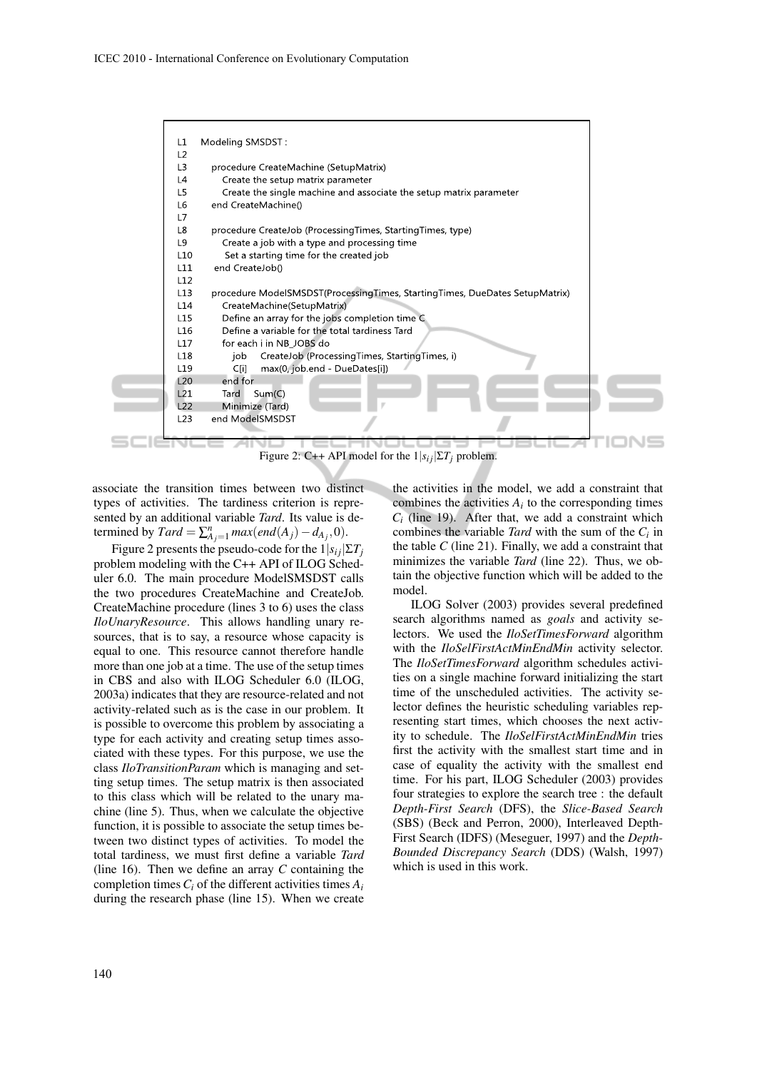

Figure 2: C++ API model for the  $1|s_{ij}|\Sigma T_j$  problem.

associate the transition times between two distinct types of activities. The tardiness criterion is represented by an additional variable *Tard*. Its value is determined by  $Tard = \sum_{A_j=1}^n max(enA_j) - d_{A_j}, 0)$ .

Figure 2 presents the pseudo-code for the  $1|s_{ij}|\Sigma T_j$ problem modeling with the C++ API of ILOG Scheduler 6.0. The main procedure ModelSMSDST calls the two procedures CreateMachine and CreateJob. CreateMachine procedure (lines 3 to 6) uses the class *IloUnaryResource*. This allows handling unary resources, that is to say, a resource whose capacity is equal to one. This resource cannot therefore handle more than one job at a time. The use of the setup times in CBS and also with ILOG Scheduler 6.0 (ILOG, 2003a) indicates that they are resource-related and not activity-related such as is the case in our problem. It is possible to overcome this problem by associating a type for each activity and creating setup times associated with these types. For this purpose, we use the class *IloTransitionParam* which is managing and setting setup times. The setup matrix is then associated to this class which will be related to the unary machine (line 5). Thus, when we calculate the objective function, it is possible to associate the setup times between two distinct types of activities. To model the total tardiness, we must first define a variable *Tard* (line 16). Then we define an array *C* containing the completion times*C<sup>i</sup>* of the different activities times *A<sup>i</sup>* during the research phase (line 15). When we create

the activities in the model, we add a constraint that combines the activities  $A_i$  to the corresponding times  $C_i$  (line 19). After that, we add a constraint which combines the variable *Tard* with the sum of the  $C_i$  in the table  $C$  (line 21). Finally, we add a constraint that minimizes the variable *Tard* (line 22). Thus, we obtain the objective function which will be added to the model.

ILOG Solver (2003) provides several predefined search algorithms named as *goals* and activity selectors. We used the *IloSetTimesForward* algorithm with the *IloSelFirstActMinEndMin* activity selector. The *IloSetTimesForward* algorithm schedules activities on a single machine forward initializing the start time of the unscheduled activities. The activity selector defines the heuristic scheduling variables representing start times, which chooses the next activity to schedule. The *IloSelFirstActMinEndMin* tries first the activity with the smallest start time and in case of equality the activity with the smallest end time. For his part, ILOG Scheduler (2003) provides four strategies to explore the search tree : the default *Depth-First Search* (DFS), the *Slice-Based Search* (SBS) (Beck and Perron, 2000), Interleaved Depth-First Search (IDFS) (Meseguer, 1997) and the *Depth-Bounded Discrepancy Search* (DDS) (Walsh, 1997) which is used in this work.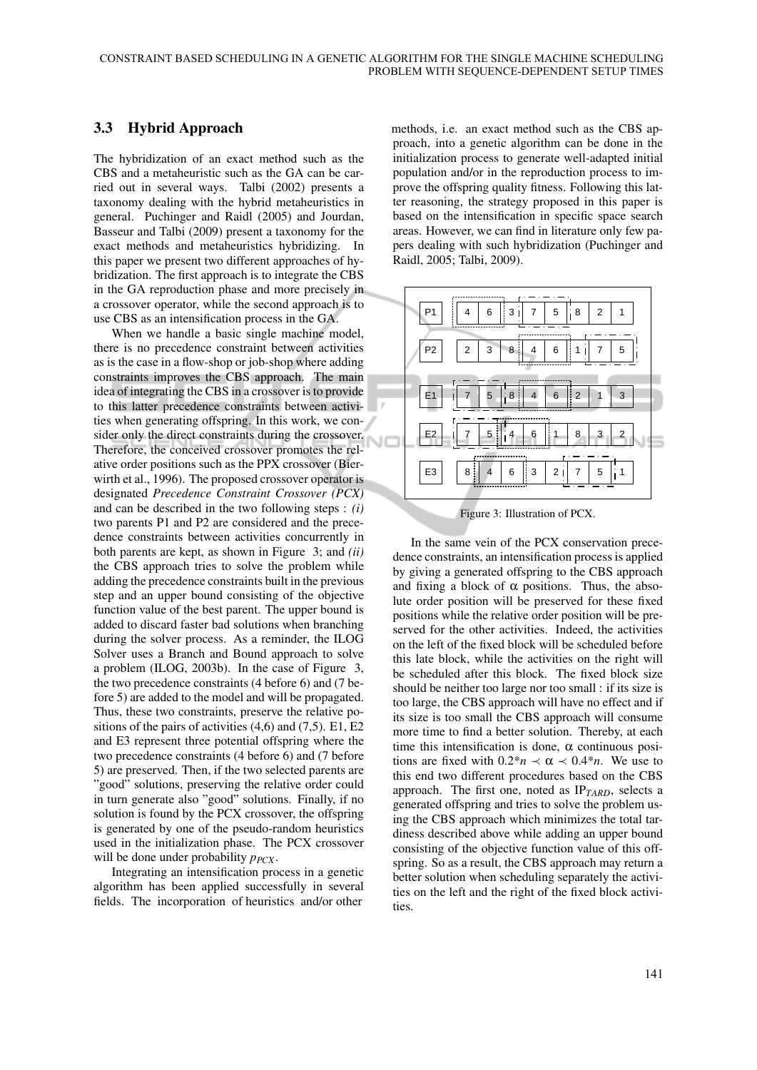### 3.3 Hybrid Approach

The hybridization of an exact method such as the CBS and a metaheuristic such as the GA can be carried out in several ways. Talbi (2002) presents a taxonomy dealing with the hybrid metaheuristics in general. Puchinger and Raidl (2005) and Jourdan, Basseur and Talbi (2009) present a taxonomy for the exact methods and metaheuristics hybridizing. In this paper we present two different approaches of hybridization. The first approach is to integrate the CBS in the GA reproduction phase and more precisely in a crossover operator, while the second approach is to use CBS as an intensification process in the GA.

When we handle a basic single machine model, there is no precedence constraint between activities as is the case in a flow-shop or job-shop where adding constraints improves the CBS approach. The main idea of integrating the CBS in a crossover is to provide to this latter precedence constraints between activities when generating offspring. In this work, we consider only the direct constraints during the crossover. Therefore, the conceived crossover promotes the relative order positions such as the PPX crossover (Bierwirth et al., 1996). The proposed crossover operator is designated *Precedence Constraint Crossover (PCX)* and can be described in the two following steps : *(i)* two parents P1 and P2 are considered and the precedence constraints between activities concurrently in both parents are kept, as shown in Figure 3; and *(ii)* the CBS approach tries to solve the problem while adding the precedence constraints built in the previous step and an upper bound consisting of the objective function value of the best parent. The upper bound is added to discard faster bad solutions when branching during the solver process. As a reminder, the ILOG Solver uses a Branch and Bound approach to solve a problem (ILOG, 2003b). In the case of Figure 3, the two precedence constraints (4 before 6) and (7 before 5) are added to the model and will be propagated. Thus, these two constraints, preserve the relative positions of the pairs of activities  $(4,6)$  and  $(7,5)$ . E1, E2 and E3 represent three potential offspring where the two precedence constraints (4 before 6) and (7 before 5) are preserved. Then, if the two selected parents are "good" solutions, preserving the relative order could in turn generate also "good" solutions. Finally, if no solution is found by the PCX crossover, the offspring is generated by one of the pseudo-random heuristics used in the initialization phase. The PCX crossover will be done under probability  $p_{PCX}$ .

Integrating an intensification process in a genetic algorithm has been applied successfully in several fields. The incorporation of heuristics and/or other

methods, i.e. an exact method such as the CBS approach, into a genetic algorithm can be done in the initialization process to generate well-adapted initial population and/or in the reproduction process to improve the offspring quality fitness. Following this latter reasoning, the strategy proposed in this paper is based on the intensification in specific space search areas. However, we can find in literature only few papers dealing with such hybridization (Puchinger and Raidl, 2005; Talbi, 2009).



Figure 3: Illustration of PCX.

In the same vein of the PCX conservation precedence constraints, an intensification process is applied by giving a generated offspring to the CBS approach and fixing a block of  $\alpha$  positions. Thus, the absolute order position will be preserved for these fixed positions while the relative order position will be preserved for the other activities. Indeed, the activities on the left of the fixed block will be scheduled before this late block, while the activities on the right will be scheduled after this block. The fixed block size should be neither too large nor too small : if its size is too large, the CBS approach will have no effect and if its size is too small the CBS approach will consume more time to find a better solution. Thereby, at each time this intensification is done,  $\alpha$  continuous positions are fixed with  $0.2^*n \prec \alpha \prec 0.4^*n$ . We use to this end two different procedures based on the CBS approach. The first one, noted as IP*TARD*, selects a generated offspring and tries to solve the problem using the CBS approach which minimizes the total tardiness described above while adding an upper bound consisting of the objective function value of this offspring. So as a result, the CBS approach may return a better solution when scheduling separately the activities on the left and the right of the fixed block activities.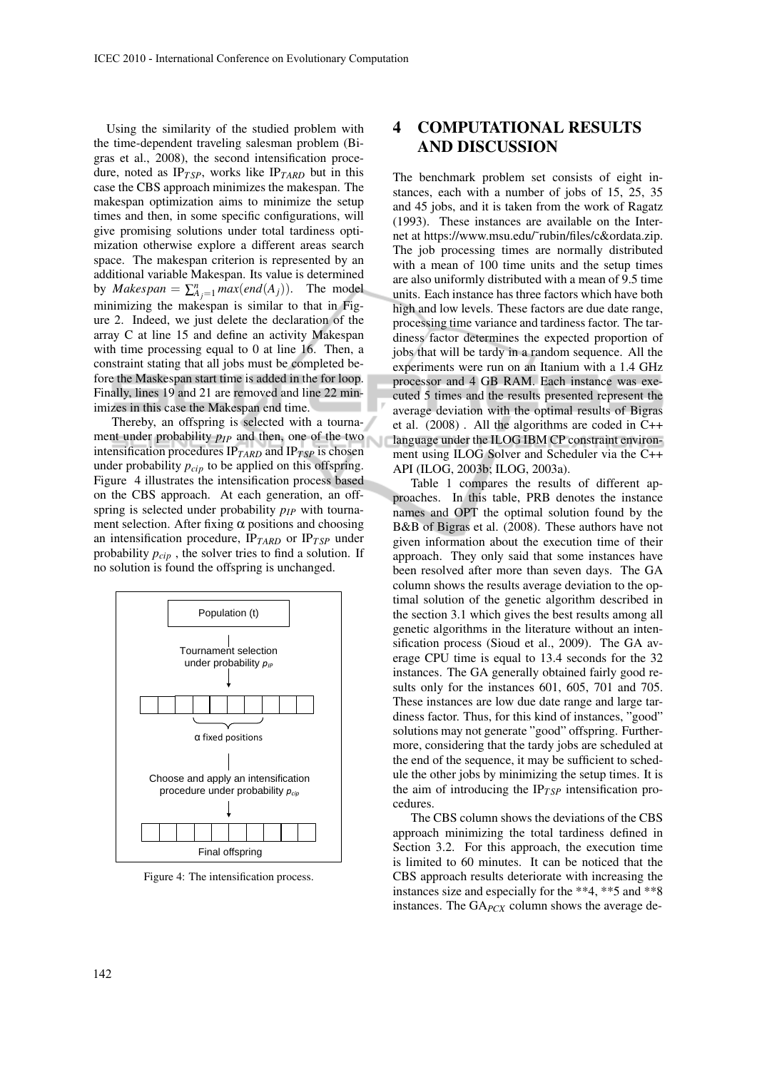Using the similarity of the studied problem with the time-dependent traveling salesman problem (Bigras et al., 2008), the second intensification procedure, noted as  $IP_{TSP}$ , works like  $IP_{TARD}$  but in this case the CBS approach minimizes the makespan. The makespan optimization aims to minimize the setup times and then, in some specific configurations, will give promising solutions under total tardiness optimization otherwise explore a different areas search space. The makespan criterion is represented by an additional variable Makespan. Its value is determined by *Makespan* =  $\sum_{A_j=1}^{n} max(enA_j))$ . The model minimizing the makespan is similar to that in Figure 2. Indeed, we just delete the declaration of the array C at line 15 and define an activity Makespan with time processing equal to 0 at line 16. Then, a constraint stating that all jobs must be completed before the Maskespan start time is added in the for loop. Finally, lines 19 and 21 are removed and line 22 minimizes in this case the Makespan end time.

Thereby, an offspring is selected with a tournament under probability  $p_{IP}$  and then, one of the two intensification procedures IP*TARD* and IP*T SP* is chosen under probability  $p_{cin}$  to be applied on this offspring. Figure 4 illustrates the intensification process based on the CBS approach. At each generation, an offspring is selected under probability  $p_{IP}$  with tournament selection. After fixing  $\alpha$  positions and choosing an intensification procedure, IP*TARD* or IP*T SP* under probability *pcip* , the solver tries to find a solution. If no solution is found the offspring is unchanged.



Figure 4: The intensification process.

# 4 COMPUTATIONAL RESULTS AND DISCUSSION

The benchmark problem set consists of eight instances, each with a number of jobs of 15, 25, 35 and 45 jobs, and it is taken from the work of Ragatz (1993). These instances are available on the Internet at https://www.msu.edu/˜rubin/files/c&ordata.zip. The job processing times are normally distributed with a mean of 100 time units and the setup times are also uniformly distributed with a mean of 9.5 time units. Each instance has three factors which have both high and low levels. These factors are due date range, processing time variance and tardiness factor. The tardiness factor determines the expected proportion of jobs that will be tardy in a random sequence. All the experiments were run on an Itanium with a 1.4 GHz processor and 4 GB RAM. Each instance was executed 5 times and the results presented represent the average deviation with the optimal results of Bigras et al. (2008) . All the algorithms are coded in C++ language under the ILOG IBM CP constraint environment using ILOG Solver and Scheduler via the C++ API (ILOG, 2003b; ILOG, 2003a).

Table 1 compares the results of different approaches. In this table, PRB denotes the instance names and OPT the optimal solution found by the B&B of Bigras et al. (2008). These authors have not given information about the execution time of their approach. They only said that some instances have been resolved after more than seven days. The GA column shows the results average deviation to the optimal solution of the genetic algorithm described in the section 3.1 which gives the best results among all genetic algorithms in the literature without an intensification process (Sioud et al., 2009). The GA average CPU time is equal to 13.4 seconds for the 32 instances. The GA generally obtained fairly good results only for the instances 601, 605, 701 and 705. These instances are low due date range and large tardiness factor. Thus, for this kind of instances, "good" solutions may not generate "good" offspring. Furthermore, considering that the tardy jobs are scheduled at the end of the sequence, it may be sufficient to schedule the other jobs by minimizing the setup times. It is the aim of introducing the  $IP_{TSP}$  intensification procedures.

The CBS column shows the deviations of the CBS approach minimizing the total tardiness defined in Section 3.2. For this approach, the execution time is limited to 60 minutes. It can be noticed that the CBS approach results deteriorate with increasing the instances size and especially for the \*\*4, \*\*5 and \*\*8 instances. The GA<sub>PCX</sub> column shows the average de-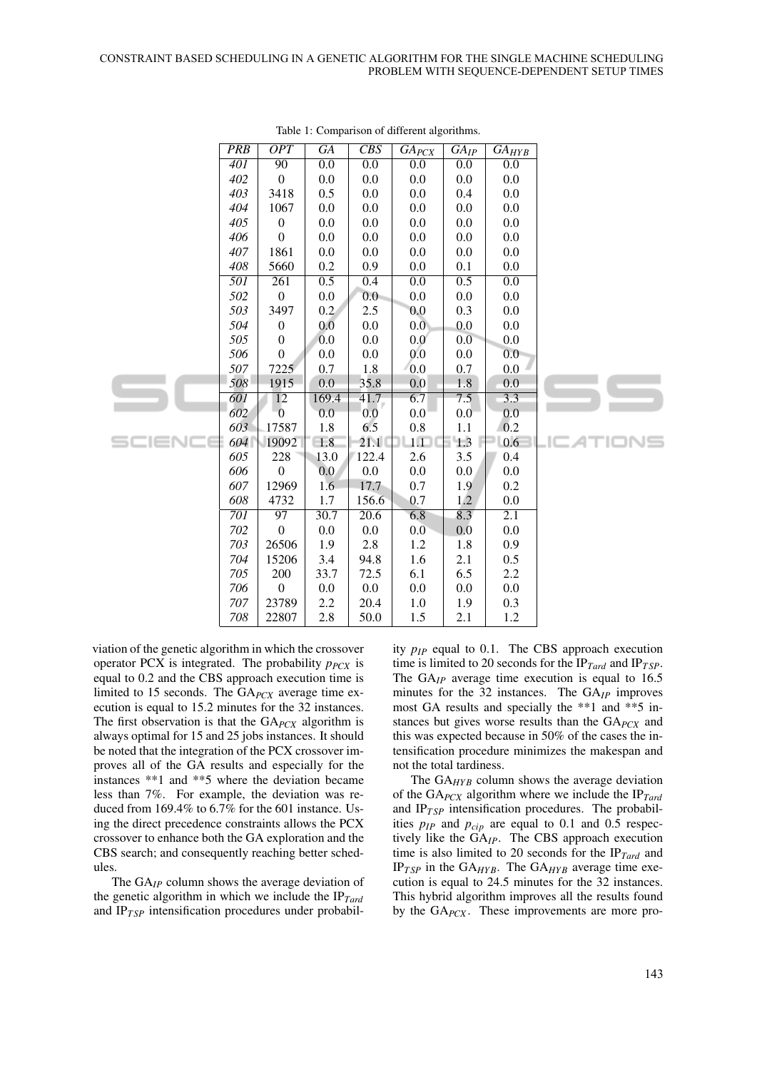|  | <b>PRB</b>       | <b>OPT</b>       | GA               | CBS               | $GA_{PCX}$       | $GA_{IP}$        | $GA_{HYB}$       |  |
|--|------------------|------------------|------------------|-------------------|------------------|------------------|------------------|--|
|  | $\overline{401}$ | 90               | 0.0              | 0.0               | 0.0              | 0.0              | 0.0              |  |
|  | 402              | $\boldsymbol{0}$ | 0.0              | 0.0               | 0.0              | 0.0              | 0.0              |  |
|  | 403              | 3418             | 0.5              | 0.0               | 0.0              | 0.4              | 0.0              |  |
|  | 404              | 1067             | 0.0              | 0.0               | 0.0              | 0.0              | 0.0              |  |
|  | 405              | $\boldsymbol{0}$ | 0.0              | 0.0               | 0.0              | 0.0              | 0.0              |  |
|  | 406              | $\boldsymbol{0}$ | 0.0              | 0.0               | 0.0              | 0.0              | 0.0              |  |
|  | 407              | 1861             | 0.0              | 0.0               | 0.0              | 0.0              | 0.0              |  |
|  | 408              | 5660             | 0.2              | 0.9               | 0.0              | 0.1              | 0.0              |  |
|  | 501              | $\overline{261}$ | $\overline{0.5}$ | 0.4               | $\overline{0.0}$ | $\overline{0.5}$ | $\overline{0.0}$ |  |
|  | 502              | $\mathbf{0}$     | 0.0              | 0.0               | 0.0              | 0.0              | 0.0              |  |
|  | 503              | 3497             | 0.2 <sub>1</sub> | 2.5               | 0.0              | 0.3              | 0.0              |  |
|  | 504              | $\boldsymbol{0}$ | 0.0              | 0.0               | 0.0 <sub>1</sub> | 0.0              | 0.0              |  |
|  | 505              | $\boldsymbol{0}$ | 0.0              | 0.0               | 0.0              | 0.0              | 0.0              |  |
|  | 506              | $\theta$         | 0.0              | 0.0               | 0.0              | 0.0              | 0.0              |  |
|  | 507              | 7225             | 0.7              | 1.8               | 0.0              | 0.7              | 0.0              |  |
|  | 508              | 1915             | 0.0              | 35.8              | 0.0              | 1.8              | 0.0              |  |
|  | 601              | 12               | 169.4            | 41.7              | 6.7              | 7.5              | 3.3              |  |
|  | 602              | $\mathbf{0}$     | 0.0              | 0.0               | 0.0              | 0.0              | 0.0              |  |
|  | 603              | 17587            | 1.8              | 6.5               | $0.8\,$          | 1.1              | 0.2              |  |
|  | 604              | 19092            | 1.8              | 21.1              | 1.1              | 1.3              | 0.6              |  |
|  | 605              | 228              | 13.0             | 122.4             | 2.6              | 3.5              | 0.4              |  |
|  | 606              | $\boldsymbol{0}$ | 0.0              | 0.0               | 0.0              | 0.0              | 0.0              |  |
|  | 607              | 12969            | 1.6              | 17.7              | 0.7              | 1.9              | 0.2              |  |
|  | 608              | 4732             | 1.7              | 156.6             | 0.7              | 1.2              | 0.0              |  |
|  | $\overline{701}$ | $\overline{97}$  | 30.7             | $\overline{20.6}$ | 6.8              | 8.3              | 2.1              |  |
|  | 702              | $\boldsymbol{0}$ | 0.0              | 0.0               | 0.0              | 0.0              | 0.0              |  |
|  | 703              | 26506            | 1.9              | 2.8               | 1.2              | 1.8              | 0.9              |  |
|  | 704              | 15206            | 3.4              | 94.8              | 1.6              | 2.1              | 0.5              |  |
|  | 705              | 200              | 33.7             | 72.5              | 6.1              | 6.5              | 2.2              |  |
|  | 706              | $\boldsymbol{0}$ | 0.0              | 0.0               | 0.0              | 0.0              | 0.0              |  |
|  | 707              | 23789            | 2.2              | 20.4              | 1.0              | 1.9              | 0.3              |  |
|  | 708              | 22807            | 2.8              | 50.0              | 1.5              | 2.1              | 1.2              |  |
|  |                  |                  |                  |                   |                  |                  |                  |  |

Table 1: Comparison of different algorithms.

viation of the genetic algorithm in which the crossover operator PCX is integrated. The probability *p<sub>PCX</sub>* is equal to 0.2 and the CBS approach execution time is limited to 15 seconds. The GA*PCX* average time execution is equal to 15.2 minutes for the 32 instances. The first observation is that the GA*PCX* algorithm is always optimal for 15 and 25 jobs instances. It should be noted that the integration of the PCX crossover improves all of the GA results and especially for the instances \*\*1 and \*\*5 where the deviation became less than 7%. For example, the deviation was reduced from 169.4% to 6.7% for the 601 instance. Using the direct precedence constraints allows the PCX crossover to enhance both the GA exploration and the CBS search; and consequently reaching better schedules.

The GA*IP* column shows the average deviation of the genetic algorithm in which we include the IP*Tard* and  $IP<sub>TSP</sub>$  intensification procedures under probability *p<sub>IP</sub>* equal to 0.1. The CBS approach execution time is limited to 20 seconds for the IP<sub>Tard</sub> and IP<sub>TSP</sub>. The GA<sub>IP</sub> average time execution is equal to 16.5 minutes for the 32 instances. The GA*IP* improves most GA results and specially the \*\*1 and \*\*5 instances but gives worse results than the GA*PCX* and this was expected because in 50% of the cases the intensification procedure minimizes the makespan and not the total tardiness.

The  $GA_{HYB}$  column shows the average deviation of the GA*PCX* algorithm where we include the IP*Tard* and  $IP_{TSP}$  intensification procedures. The probabilities  $p_{IP}$  and  $p_{cip}$  are equal to 0.1 and 0.5 respectively like the GA*IP*. The CBS approach execution time is also limited to 20 seconds for the  $IP_{Tard}$  and IP*T SP* in the GA*HY B*. The GA*HY B* average time execution is equal to 24.5 minutes for the 32 instances. This hybrid algorithm improves all the results found by the GA<sub>PCX</sub>. These improvements are more pro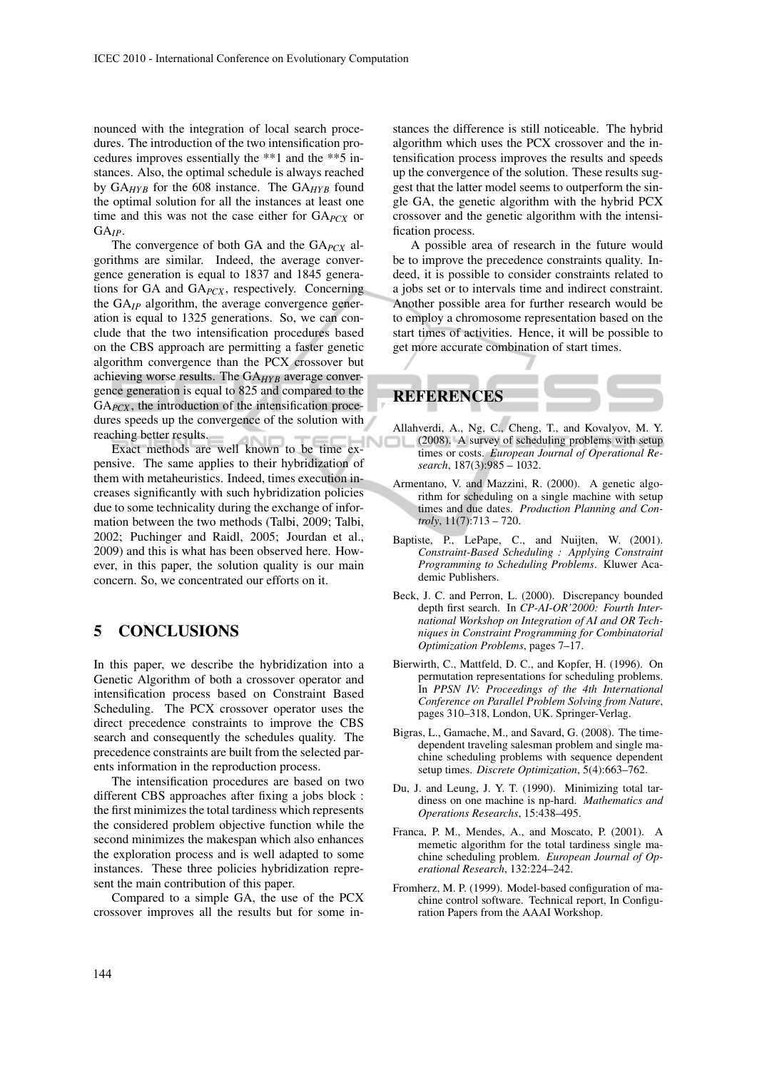nounced with the integration of local search procedures. The introduction of the two intensification procedures improves essentially the \*\*1 and the \*\*5 instances. Also, the optimal schedule is always reached by GA*HY B* for the 608 instance. The GA*HY B* found the optimal solution for all the instances at least one time and this was not the case either for GA*PCX* or GA*IP*.

The convergence of both GA and the GA*PCX* algorithms are similar. Indeed, the average convergence generation is equal to 1837 and 1845 generations for GA and GA*PCX* , respectively. Concerning the GA*IP* algorithm, the average convergence generation is equal to 1325 generations. So, we can conclude that the two intensification procedures based on the CBS approach are permitting a faster genetic algorithm convergence than the PCX crossover but achieving worse results. The GA<sub>HYB</sub> average convergence generation is equal to 825 and compared to the GA*PCX* , the introduction of the intensification procedures speeds up the convergence of the solution with reaching better results.

Exact methods are well known to be time expensive. The same applies to their hybridization of them with metaheuristics. Indeed, times execution increases significantly with such hybridization policies due to some technicality during the exchange of information between the two methods (Talbi, 2009; Talbi, 2002; Puchinger and Raidl, 2005; Jourdan et al., 2009) and this is what has been observed here. However, in this paper, the solution quality is our main concern. So, we concentrated our efforts on it.

# 5 CONCLUSIONS

In this paper, we describe the hybridization into a Genetic Algorithm of both a crossover operator and intensification process based on Constraint Based Scheduling. The PCX crossover operator uses the direct precedence constraints to improve the CBS search and consequently the schedules quality. The precedence constraints are built from the selected parents information in the reproduction process.

The intensification procedures are based on two different CBS approaches after fixing a jobs block : the first minimizes the total tardiness which represents the considered problem objective function while the second minimizes the makespan which also enhances the exploration process and is well adapted to some instances. These three policies hybridization represent the main contribution of this paper.

Compared to a simple GA, the use of the PCX crossover improves all the results but for some in-

stances the difference is still noticeable. The hybrid algorithm which uses the PCX crossover and the intensification process improves the results and speeds up the convergence of the solution. These results suggest that the latter model seems to outperform the single GA, the genetic algorithm with the hybrid PCX crossover and the genetic algorithm with the intensification process.

A possible area of research in the future would be to improve the precedence constraints quality. Indeed, it is possible to consider constraints related to a jobs set or to intervals time and indirect constraint. Another possible area for further research would be to employ a chromosome representation based on the start times of activities. Hence, it will be possible to get more accurate combination of start times.



Allahverdi, A., Ng, C., Cheng, T., and Kovalyov, M. Y. (2008). A survey of scheduling problems with setup times or costs. *European Journal of Operational Research*, 187(3):985 – 1032.

J

- Armentano, V. and Mazzini, R. (2000). A genetic algorithm for scheduling on a single machine with setup times and due dates. *Production Planning and Controly*, 11(7):713 – 720.
- Baptiste, P., LePape, C., and Nuijten, W. (2001). *Constraint-Based Scheduling : Applying Constraint Programming to Scheduling Problems*. Kluwer Academic Publishers.
- Beck, J. C. and Perron, L. (2000). Discrepancy bounded depth first search. In *CP-AI-OR'2000: Fourth International Workshop on Integration of AI and OR Techniques in Constraint Programming for Combinatorial Optimization Problems*, pages 7–17.
- Bierwirth, C., Mattfeld, D. C., and Kopfer, H. (1996). On permutation representations for scheduling problems. In *PPSN IV: Proceedings of the 4th International Conference on Parallel Problem Solving from Nature*, pages 310–318, London, UK. Springer-Verlag.
- Bigras, L., Gamache, M., and Savard, G. (2008). The timedependent traveling salesman problem and single machine scheduling problems with sequence dependent setup times. *Discrete Optimization*, 5(4):663–762.
- Du, J. and Leung, J. Y. T. (1990). Minimizing total tardiness on one machine is np-hard. *Mathematics and Operations Researchs*, 15:438–495.
- Franca, P. M., Mendes, A., and Moscato, P. (2001). A memetic algorithm for the total tardiness single machine scheduling problem. *European Journal of Operational Research*, 132:224–242.
- Fromherz, M. P. (1999). Model-based configuration of machine control software. Technical report, In Configuration Papers from the AAAI Workshop.